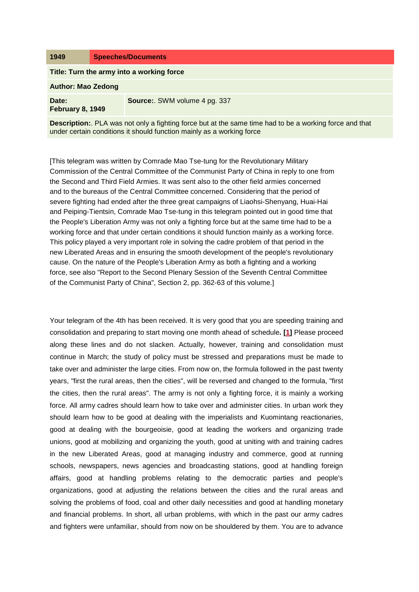| 1949 | <b>Speeches/Documents</b> |
|------|---------------------------|
|      |                           |

## **Title: Turn the army into a working force**

## **Author: Mao Zedong**

| Date:            | <b>Source:.</b> SWM volume 4 pg. 337 |
|------------------|--------------------------------------|
| February 8, 1949 |                                      |

**Description:**. PLA was not only a fighting force but at the same time had to be a working force and that under certain conditions it should function mainly as a working force

[This telegram was written by Comrade Mao Tse-tung for the Revolutionary Military Commission of the Central Committee of the Communist Party of China in reply to one from the Second and Third Field Armies. It was sent also to the other field armies concerned and to the bureaus of the Central Committee concerned. Considering that the period of severe fighting had ended after the three great campaigns of Liaohsi-Shenyang, Huai-Hai and Peiping-Tientsin, Comrade Mao Tse-tung in this telegram pointed out in good time that the People's Liberation Army was not only a fighting force but at the same time had to be a working force and that under certain conditions it should function mainly as a working force. This policy played a very important role in solving the cadre problem of that period in the new Liberated Areas and in ensuring the smooth development of the people's revolutionary cause. On the nature of the People's Liberation Army as both a fighting and a working force, see also "Report to the Second Plenary Session of the Seventh Central Committee of the Communist Party of China", Section 2, pp. 362-63 of this volume.]

Your telegram of the 4th has been received. It is very good that you are speeding training and consolidation and preparing to start moving one month ahead of schedule**. [\[1\]](http://www.marxists.org/reference/archive/mao/selected-works/volume-4/mswv4_54.htm#bm1#bm1)** Please proceed along these lines and do not slacken. Actually, however, training and consolidation must continue in March; the study of policy must be stressed and preparations must be made to take over and administer the large cities. From now on, the formula followed in the past twenty years, "first the rural areas, then the cities", will be reversed and changed to the formula, "first the cities, then the rural areas". The army is not only a fighting force, it is mainly a working force. All army cadres should learn how to take over and administer cities. In urban work they should learn how to be good at dealing with the imperialists and Kuomintang reactionaries, good at dealing with the bourgeoisie, good at leading the workers and organizing trade unions, good at mobilizing and organizing the youth, good at uniting with and training cadres in the new Liberated Areas, good at managing industry and commerce, good at running schools, newspapers, news agencies and broadcasting stations, good at handling foreign affairs, good at handling problems relating to the democratic parties and people's organizations, good at adjusting the relations between the cities and the rural areas and solving the problems of food, coal and other daily necessities and good at handling monetary and financial problems. In short, all urban problems, with which in the past our army cadres and fighters were unfamiliar, should from now on be shouldered by them. You are to advance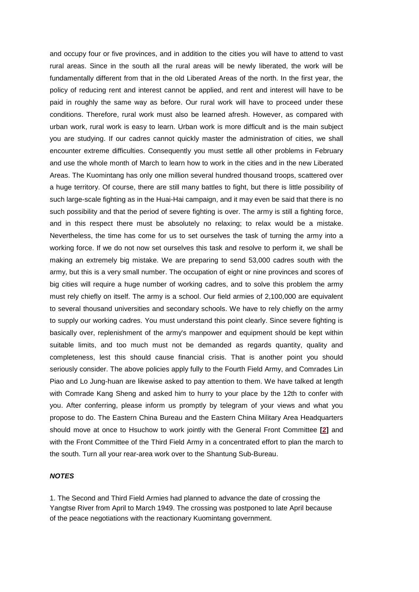and occupy four or five provinces, and in addition to the cities you will have to attend to vast rural areas. Since in the south all the rural areas will be newly liberated, the work will be fundamentally different from that in the old Liberated Areas of the north. In the first year, the policy of reducing rent and interest cannot be applied, and rent and interest will have to be paid in roughly the same way as before. Our rural work will have to proceed under these conditions. Therefore, rural work must also be learned afresh. However, as compared with urban work, rural work is easy to learn. Urban work is more difficult and is the main subject you are studying. If our cadres cannot quickly master the administration of cities, we shall encounter extreme difficulties. Consequently you must settle all other problems in February and use the whole month of March to learn how to work in the cities and in the new Liberated Areas. The Kuomintang has only one million several hundred thousand troops, scattered over a huge territory. Of course, there are still many battles to fight, but there is little possibility of such large-scale fighting as in the Huai-Hai campaign, and it may even be said that there is no such possibility and that the period of severe fighting is over. The army is still a fighting force, and in this respect there must be absolutely no relaxing; to relax would be a mistake. Nevertheless, the time has come for us to set ourselves the task of turning the army into a working force. If we do not now set ourselves this task and resolve to perform it, we shall be making an extremely big mistake. We are preparing to send 53,000 cadres south with the army, but this is a very small number. The occupation of eight or nine provinces and scores of big cities will require a huge number of working cadres, and to solve this problem the army must rely chiefly on itself. The army is a school. Our field armies of 2,100,000 are equivalent to several thousand universities and secondary schools. We have to rely chiefly on the army to supply our working cadres. You must understand this point clearly. Since severe fighting is basically over, replenishment of the army's manpower and equipment should be kept within suitable limits, and too much must not be demanded as regards quantity, quality and completeness, lest this should cause financial crisis. That is another point you should seriously consider. The above policies apply fully to the Fourth Field Army, and Comrades Lin Piao and Lo Jung-huan are likewise asked to pay attention to them. We have talked at length with Comrade Kang Sheng and asked him to hurry to your place by the 12th to confer with you. After conferring, please inform us promptly by telegram of your views and what you propose to do. The Eastern China Bureau and the Eastern China Military Area Headquarters should move at once to Hsuchow to work jointly with the General Front Committee **[\[2\]](http://www.marxists.org/reference/archive/mao/selected-works/volume-4/mswv4_54.htm#bm2#bm2)** and with the Front Committee of the Third Field Army in a concentrated effort to plan the march to the south. Turn all your rear-area work over to the Shantung Sub-Bureau.

## *NOTES*

1. The Second and Third Field Armies had planned to advance the date of crossing the Yangtse River from April to March 1949. The crossing was postponed to late April because of the peace negotiations with the reactionary Kuomintang government.